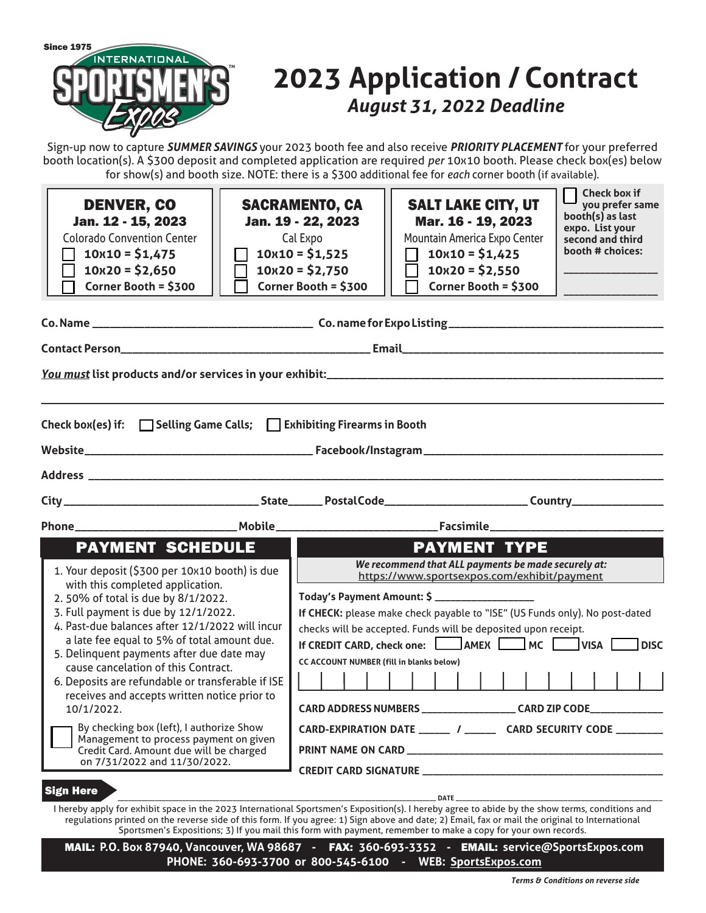

# **2023 Application / Contract** *August 31, 2022 Deadline*

Sign-up now to capture *SUMMER SAVINGS* your 2023 booth fee and also receive *PRIORITY PLACEMENT* for your preferred booth location(s). A \$300 deposit and completed application are required *per* 10x10 booth. Please check box(es) below for show(s) and booth size. NOTE: there is a \$300 additional fee for *each* corner booth (if available).

| <b>DENVER, CO</b><br>Jan. 12 - 15, 2023<br><b>Colorado Convention Center</b><br>$10x10 = $1,475$<br>$10x20 = $2,650$<br>Corner Booth = \$300                                                                                                                                                                                                                                                                                                                                                                                                                                                                                                                          | <b>SACRAMENTO, CA</b><br>Jan. 19 - 22, 2023<br>Cal Expo<br>$10x10 = $1,525$<br>$10x20 = $2,750$<br>Corner Booth = \$300 | <b>SALT LAKE CITY, UT</b><br>Mar. 16 - 19, 2023<br>Mountain America Expo Center<br>$10x10 = $1,425$<br>$\mathsf{L}$<br>$10x20 = $2,550$<br>Corner Booth = \$300                                                                                                                                                                                                                                                                                                    | booth(s) as last<br>expo. List your<br>second and third<br>booth # choices: | <b>Check box if</b><br>you prefer same |             |
|-----------------------------------------------------------------------------------------------------------------------------------------------------------------------------------------------------------------------------------------------------------------------------------------------------------------------------------------------------------------------------------------------------------------------------------------------------------------------------------------------------------------------------------------------------------------------------------------------------------------------------------------------------------------------|-------------------------------------------------------------------------------------------------------------------------|--------------------------------------------------------------------------------------------------------------------------------------------------------------------------------------------------------------------------------------------------------------------------------------------------------------------------------------------------------------------------------------------------------------------------------------------------------------------|-----------------------------------------------------------------------------|----------------------------------------|-------------|
|                                                                                                                                                                                                                                                                                                                                                                                                                                                                                                                                                                                                                                                                       |                                                                                                                         |                                                                                                                                                                                                                                                                                                                                                                                                                                                                    |                                                                             |                                        |             |
| Check box(es) if: $\Box$ Selling Game Calls; $\Box$ Exhibiting Firearms in Booth                                                                                                                                                                                                                                                                                                                                                                                                                                                                                                                                                                                      |                                                                                                                         |                                                                                                                                                                                                                                                                                                                                                                                                                                                                    |                                                                             |                                        |             |
|                                                                                                                                                                                                                                                                                                                                                                                                                                                                                                                                                                                                                                                                       |                                                                                                                         |                                                                                                                                                                                                                                                                                                                                                                                                                                                                    |                                                                             |                                        |             |
| <b>PAYMENT SCHEDULE</b><br>1. Your deposit (\$300 per 10x10 booth) is due<br>with this completed application.<br>2.50% of total is due by 8/1/2022.<br>3. Full payment is due by 12/1/2022.<br>4. Past-due balances after 12/1/2022 will incur<br>a late fee equal to 5% of total amount due.<br>5. Delinquent payments after due date may<br>cause cancelation of this Contract.<br>6. Deposits are refundable or transferable if ISE<br>receives and accepts written notice prior to<br>10/1/2022.<br>By checking box (left), I authorize Show<br>Management to process payment on given<br>Credit Card. Amount due will be charged<br>on 7/31/2022 and 11/30/2022. | CC ACCOUNT NUMBER (fill in blanks below)                                                                                | <b>PAYMENT TYPE</b><br>We recommend that ALL payments be made securely at:<br>https://www.sportsexpos.com/exhibit/payment<br>If CHECK: please make check payable to "ISE" (US Funds only). No post-dated<br>checks will be accepted. Funds will be deposited upon receipt.<br>If CREDIT CARD, check one: AMEX MC WISA<br>CARD ADDRESS NUMBERS ____________________ CARD ZIP CODE______________<br>CARD-EXPIRATION DATE ______ / ______ CARD SECURITY CODE ________ |                                                                             |                                        | <b>DISC</b> |
| <b>Sign Here</b><br>I hereby apply for exhibit space in the 2023 International Sportsmen's Exposition(s). I hereby agree to abide by the show terms, conditions and                                                                                                                                                                                                                                                                                                                                                                                                                                                                                                   |                                                                                                                         | DATE                                                                                                                                                                                                                                                                                                                                                                                                                                                               |                                                                             |                                        |             |

regulations printed on the reverse side of this form. If you agree: 1) Sign above and date; 2) Email, fax or mail the original to International Sportsmen's Expositions; 3) If you mail this form with payment, remember to make a copy for your own records.

MAIL: **P.O. Box 87940, Vancouver, WA 98687 -** FAX: **360-693-3352 -** EMAIL: **service@SportsExpos.com PHONE: 360-693-3700 or 800-545-6100 - WEB: SportsExpos.com**